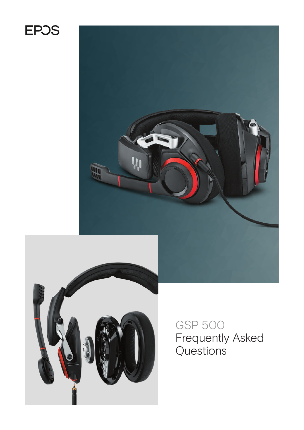# **EPOS**





GSP 500 Frequently Asked Questions